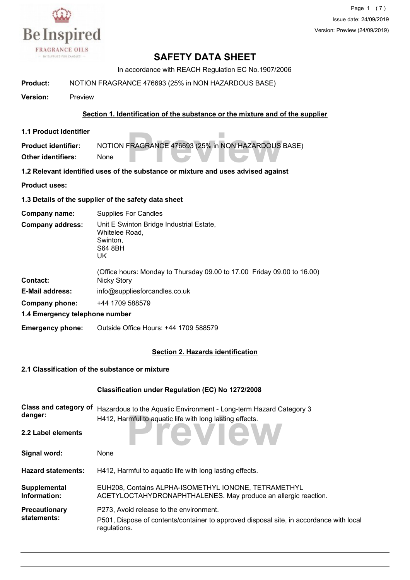

Page 1 (7) Issue date: 24/09/2019 Version: Preview (24/09/2019)

# **SAFETY DATA SHEET**

In accordance with REACH Regulation EC No.1907/2006

**Product:** NOTION FRAGRANCE 476693 (25% in NON HAZARDOUS BASE)

**Version:** Preview

#### **Section 1. Identification of the substance or the mixture and of the supplier**

**1.1 Product Identifier**

**FRAGRANCE 476693 (25% in NON HAZARDOUS Product identifier:** NOTION FRAGRANCE 476693 (25% in NON HAZARDOUS BASE) **Other identifiers:** None

**1.2 Relevant identified uses of the substance or mixture and uses advised against**

**Product uses:**

**1.3 Details of the supplier of the safety data sheet**

UK

**Company name:** Supplies For Candles

Unit E Swinton Bridge Industrial Estate, Whitelee Road, Swinton, S64 8BH **Company address:**

| <b>Contact:</b>                                  | (Office hours: Monday to Thursday 09.00 to 17.00 Friday 09.00 to 16.00)<br>Nicky Story |
|--------------------------------------------------|----------------------------------------------------------------------------------------|
| <b>E-Mail address:</b>                           | info@suppliesforcandles.co.uk                                                          |
| Company phone:                                   | +44 1709 588579                                                                        |
| 4. 4. Express property to be placed a considered |                                                                                        |

**1.4 Emergency telephone number**

**Emergency phone:** Outside Office Hours: +44 1709 588579

#### **Section 2. Hazards identification**

#### **2.1 Classification of the substance or mixture**

|                                         | <b>Classification under Regulation (EC) No 1272/2008</b>                                                                                           |
|-----------------------------------------|----------------------------------------------------------------------------------------------------------------------------------------------------|
| <b>Class and category of</b><br>danger: | Hazardous to the Aquatic Environment - Long-term Hazard Category 3<br>H412, Harmful to aquatic life with long lasting effects.                     |
| 2.2 Label elements                      | review                                                                                                                                             |
| Signal word:                            | None                                                                                                                                               |
| <b>Hazard statements:</b>               | H412, Harmful to aquatic life with long lasting effects.                                                                                           |
| Supplemental<br>Information:            | EUH208, Contains ALPHA-ISOMETHYL IONONE, TETRAMETHYL<br>ACETYLOCTAHYDRONAPHTHALENES. May produce an allergic reaction.                             |
| <b>Precautionary</b><br>statements:     | P273. Avoid release to the environment.<br>P501, Dispose of contents/container to approved disposal site, in accordance with local<br>regulations. |
|                                         |                                                                                                                                                    |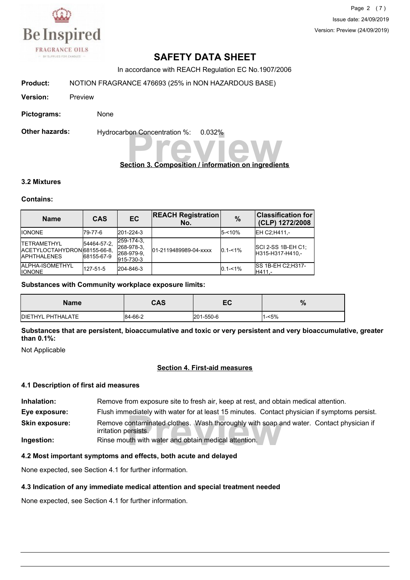

Page 2 (7) Issue date: 24/09/2019 Version: Preview (24/09/2019)

# **SAFETY DATA SHEET**

In accordance with REACH Regulation EC No.1907/2006

**Product:** NOTION FRAGRANCE 476693 (25% in NON HAZARDOUS BASE)

**Version:** Preview

**Pictograms:** None

**Other hazards:** Hydrocarbon Concentration %: 0.032%

# **Preview Concentration %:** 0.032%<br> **Preview Composition / information on ingredients**

#### **3.2 Mixtures**

#### **Contains:**

| <b>Name</b>                                                                | <b>CAS</b>                | EC                                                  | <b>REACH Registration</b><br>No. | $\frac{9}{6}$ | <b>Classification for</b><br>(CLP) 1272/2008  |
|----------------------------------------------------------------------------|---------------------------|-----------------------------------------------------|----------------------------------|---------------|-----------------------------------------------|
| <b>IIONONE</b>                                                             | 179-77-6                  | 201-224-3                                           |                                  | $5 - 10%$     | EH C2:H411 .-                                 |
| <b>ITETRAMETHYL</b><br>IACETYLOCTAHYDRON68155-66-8.<br><b>IAPHTHALENES</b> | 54464-57-2.<br>68155-67-9 | 259-174-3.<br>268-978-3.<br>268-979-9.<br>915-730-3 | 01-2119489989-04-xxxx            | $0.1 - 1\%$   | <b>SCI 2-SS 1B-EH C1:</b><br>H315-H317-H410.- |
| <b>JALPHA-ISOMETHYL</b><br><b>IIONONE</b>                                  | 127-51-5                  | 204-846-3                                           |                                  | $0.1 - 1\%$   | <b>ISS 1B-EH C2:H317-</b><br>H411.-           |

#### **Substances with Community workplace exposure limits:**

| <b>Name</b>       | <b>CAS</b> | EC        | $\mathbf{0}$<br>70 |
|-------------------|------------|-----------|--------------------|
| DIETHYL PHTHALATE | 84-66-2    | 201-550-6 | 1-<5%              |

**Substances that are persistent, bioaccumulative and toxic or very persistent and very bioaccumulative, greater than 0.1%:**

Not Applicable

#### **Section 4. First-aid measures**

#### **4.1 Description of first aid measures**

rediately with water for at least 15 minutes. Contact<br>contaminated clothes. Wash thoroughly with soap a<br>ersists.<br>uth with water and obtain medical attention. **Inhalation:** Remove from exposure site to fresh air, keep at rest, and obtain medical attention. **Eye exposure:** Flush immediately with water for at least 15 minutes. Contact physician if symptoms persist. Remove contaminated clothes. Wash thoroughly with soap and water. Contact physician if irritation persists. **Skin exposure: Ingestion:** Rinse mouth with water and obtain medical attention.

#### **4.2 Most important symptoms and effects, both acute and delayed**

None expected, see Section 4.1 for further information.

#### **4.3 Indication of any immediate medical attention and special treatment needed**

None expected, see Section 4.1 for further information.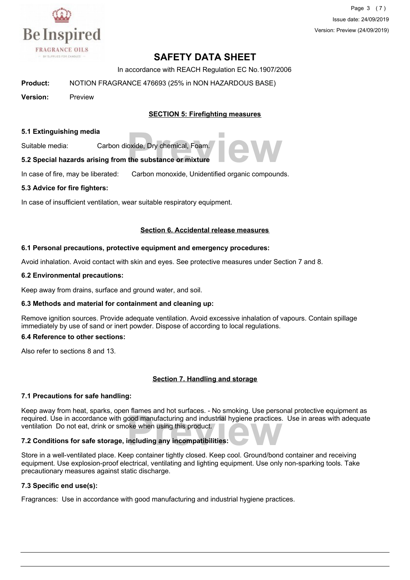

Page 3 (7) Issue date: 24/09/2019 Version: Preview (24/09/2019)

# **SAFETY DATA SHEET**

In accordance with REACH Regulation EC No.1907/2006

**Product:** NOTION FRAGRANCE 476693 (25% in NON HAZARDOUS BASE)

**Version:** Preview

#### **SECTION 5: Firefighting measures**

#### **5.1 Extinguishing media**

Suitable media: Carbon dioxide, Dry chemical, Foam.

# provide, Dry chemical, Foam.<br>**The substance or mixture 5.2 Special hazards arising from the substance or mixture**

In case of fire, may be liberated: Carbon monoxide, Unidentified organic compounds.

#### **5.3 Advice for fire fighters:**

In case of insufficient ventilation, wear suitable respiratory equipment.

#### **Section 6. Accidental release measures**

#### **6.1 Personal precautions, protective equipment and emergency procedures:**

Avoid inhalation. Avoid contact with skin and eyes. See protective measures under Section 7 and 8.

#### **6.2 Environmental precautions:**

Keep away from drains, surface and ground water, and soil.

#### **6.3 Methods and material for containment and cleaning up:**

Remove ignition sources. Provide adequate ventilation. Avoid excessive inhalation of vapours. Contain spillage immediately by use of sand or inert powder. Dispose of according to local regulations.

#### **6.4 Reference to other sections:**

Also refer to sections 8 and 13.

#### **Section 7. Handling and storage**

#### **7.1 Precautions for safe handling:**

**Prequired.** Use in accordance with good manufacturing and industrial hygiene practices. Use in areas with adequate ventilation Do not eat, drink or smoke when using this product.<br>**7.2 Conditions for safe storage, includin** Keep away from heat, sparks, open flames and hot surfaces. - No smoking. Use personal protective equipment as ventilation Do not eat, drink or smoke when using this product.

#### **7.2 Conditions for safe storage, including any incompatibilities:**

Store in a well-ventilated place. Keep container tightly closed. Keep cool. Ground/bond container and receiving equipment. Use explosion-proof electrical, ventilating and lighting equipment. Use only non-sparking tools. Take precautionary measures against static discharge.

#### **7.3 Specific end use(s):**

Fragrances: Use in accordance with good manufacturing and industrial hygiene practices.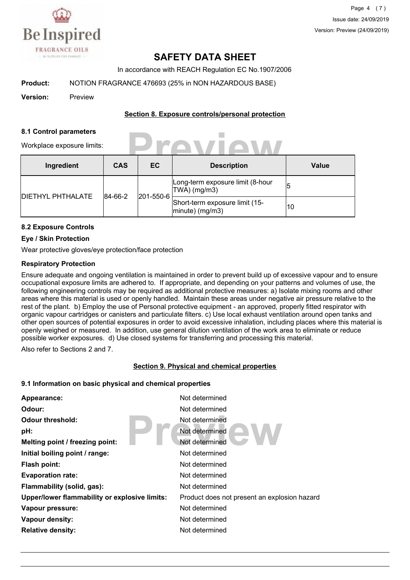

Page 4 (7) Issue date: 24/09/2019 Version: Preview (24/09/2019)

# **SAFETY DATA SHEET**

In accordance with REACH Regulation EC No.1907/2006

**Product:** NOTION FRAGRANCE 476693 (25% in NON HAZARDOUS BASE)

**Version:** Preview

#### **Section 8. Exposure controls/personal protection**

**Preview**

#### **8.1 Control parameters**

Workplace exposure limits:

| Ingredient               | <b>CAS</b>           | EC                                                   | <b>Description</b>                                | <b>Value</b> |
|--------------------------|----------------------|------------------------------------------------------|---------------------------------------------------|--------------|
| <b>DIETHYL PHTHALATE</b> | 201-550-6<br>84-66-2 |                                                      | Long-term exposure limit (8-hour<br> TWA  (mg/m3) |              |
|                          |                      | Short-term exposure limit (15-<br>$ minute)$ (mg/m3) | 10                                                |              |

#### **8.2 Exposure Controls**

#### **Eye / Skin Protection**

Wear protective gloves/eye protection/face protection

#### **Respiratory Protection**

Ensure adequate and ongoing ventilation is maintained in order to prevent build up of excessive vapour and to ensure occupational exposure limits are adhered to. If appropriate, and depending on your patterns and volumes of use, the following engineering controls may be required as additional protective measures: a) Isolate mixing rooms and other areas where this material is used or openly handled. Maintain these areas under negative air pressure relative to the rest of the plant. b) Employ the use of Personal protective equipment - an approved, properly fitted respirator with organic vapour cartridges or canisters and particulate filters. c) Use local exhaust ventilation around open tanks and other open sources of potential exposures in order to avoid excessive inhalation, including places where this material is openly weighed or measured. In addition, use general dilution ventilation of the work area to eliminate or reduce possible worker exposures. d) Use closed systems for transferring and processing this material.

Also refer to Sections 2 and 7.

#### **Section 9. Physical and chemical properties**

#### **9.1 Information on basic physical and chemical properties**

| Appearance:                                   | Not determined                               |
|-----------------------------------------------|----------------------------------------------|
| Odour:                                        | Not determined                               |
| Odour threshold:                              | Not determined                               |
| pH:                                           | Not determined                               |
| Melting point / freezing point:               | Not determined                               |
| Initial boiling point / range:                | Not determined                               |
| <b>Flash point:</b>                           | Not determined                               |
| <b>Evaporation rate:</b>                      | Not determined                               |
| Flammability (solid, gas):                    | Not determined                               |
| Upper/lower flammability or explosive limits: | Product does not present an explosion hazard |
| Vapour pressure:                              | Not determined                               |
| <b>Vapour density:</b>                        | Not determined                               |
| <b>Relative density:</b>                      | Not determined                               |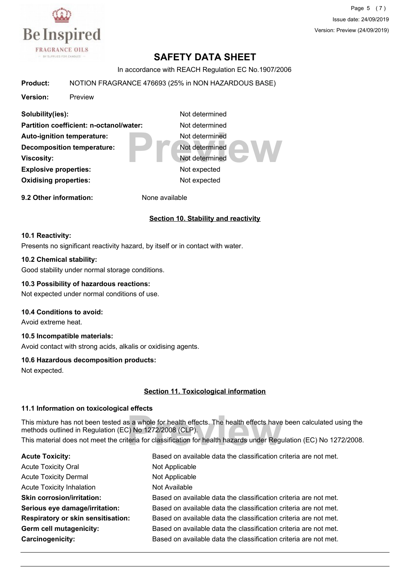

Page 5 (7) Issue date: 24/09/2019 Version: Preview (24/09/2019)

# **SAFETY DATA SHEET**

In accordance with REACH Regulation EC No.1907/2006

#### **Product:** NOTION FRAGRANCE 476693 (25% in NON HAZARDOUS BASE)

**Version:** Preview

Not determined<br>
Not determined<br>
Not determined<br>
Not expected **Solubility(ies):** Not determined **Partition coefficient: n-octanol/water:** Not determined Auto-ignition temperature: Not determined **Decomposition temperature:** Not determined **Viscosity:** Not determined **Explosive properties:** Not expected **Oxidising properties:** Not expected **9.2 Other information:** None available

#### **Section 10. Stability and reactivity**

#### **10.1 Reactivity:**

Presents no significant reactivity hazard, by itself or in contact with water.

#### **10.2 Chemical stability:**

Good stability under normal storage conditions.

#### **10.3 Possibility of hazardous reactions:**

Not expected under normal conditions of use.

#### **10.4 Conditions to avoid:**

Avoid extreme heat.

#### **10.5 Incompatible materials:**

Avoid contact with strong acids, alkalis or oxidising agents.

#### **10.6 Hazardous decomposition products:**

Not expected.

#### **Section 11. Toxicological information**

#### **11.1 Information on toxicological effects**

s a whole for health effects. The health effects have<br>C) No 1272/2008 (CLP).<br>teria for classification for health hazards under Regu This mixture has not been tested as a whole for health effects. The health effects have been calculated using the methods outlined in Regulation (EC) No 1272/2008 (CLP). This material does not meet the criteria for classification for health hazards under Regulation (EC) No 1272/2008.

| <b>Acute Toxicity:</b>             | Based on available data the classification criteria are not met. |
|------------------------------------|------------------------------------------------------------------|
| <b>Acute Toxicity Oral</b>         | Not Applicable                                                   |
| <b>Acute Toxicity Dermal</b>       | Not Applicable                                                   |
| <b>Acute Toxicity Inhalation</b>   | Not Available                                                    |
| <b>Skin corrosion/irritation:</b>  | Based on available data the classification criteria are not met. |
| Serious eye damage/irritation:     | Based on available data the classification criteria are not met. |
| Respiratory or skin sensitisation: | Based on available data the classification criteria are not met. |
| <b>Germ cell mutagenicity:</b>     | Based on available data the classification criteria are not met. |
| Carcinogenicity:                   | Based on available data the classification criteria are not met. |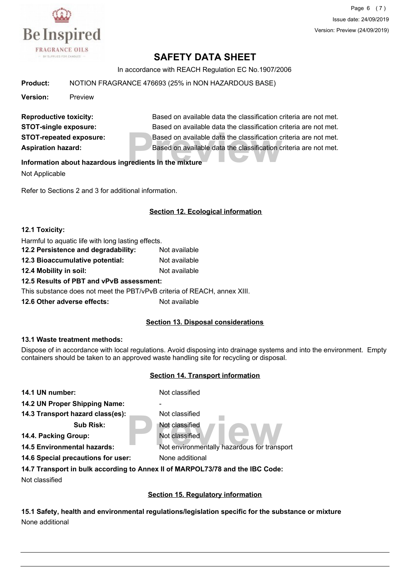

Page 6 (7) Issue date: 24/09/2019 Version: Preview (24/09/2019)

# **SAFETY DATA SHEET**

In accordance with REACH Regulation EC No.1907/2006

**Product:** NOTION FRAGRANCE 476693 (25% in NON HAZARDOUS BASE)

**Version:** Preview

Based on available data the classification c<br>Based on available data the classification c<br>**Predients in the mixture Reproductive toxicity:** Based on available data the classification criteria are not met. **STOT-single exposure:** Based on available data the classification criteria are not met. **STOT-repeated exposure:** Based on available data the classification criteria are not met. **Aspiration hazard:** Based on available data the classification criteria are not met.

#### **Information about hazardous ingredients in the mixture**

Not Applicable

Refer to Sections 2 and 3 for additional information.

#### **Section 12. Ecological information**

#### **12.1 Toxicity:**

| Harmful to aquatic life with long lasting effects.                       |               |  |  |  |
|--------------------------------------------------------------------------|---------------|--|--|--|
| 12.2 Persistence and degradability:                                      | Not available |  |  |  |
| 12.3 Bioaccumulative potential:                                          | Not available |  |  |  |
| 12.4 Mobility in soil:                                                   | Not available |  |  |  |
| 12.5 Results of PBT and vPvB assessment:                                 |               |  |  |  |
| This substance does not meet the PBT/vPvB criteria of REACH, annex XIII. |               |  |  |  |
| 12.6 Other adverse effects:                                              | Not available |  |  |  |

#### **Section 13. Disposal considerations**

#### **13.1 Waste treatment methods:**

Dispose of in accordance with local regulations. Avoid disposing into drainage systems and into the environment. Empty containers should be taken to an approved waste handling site for recycling or disposal.

#### **Section 14. Transport information**

| 14.1 UN number:                    | Not classified                                                                |
|------------------------------------|-------------------------------------------------------------------------------|
| 14.2 UN Proper Shipping Name:      |                                                                               |
| 14.3 Transport hazard class(es):   | Not classified                                                                |
| <b>Sub Risk:</b>                   | Not classified                                                                |
| 14.4. Packing Group:               | Not classified                                                                |
| <b>14.5 Environmental hazards:</b> | Not environmentally hazardous for transport                                   |
| 14.6 Special precautions for user: | None additional                                                               |
|                                    | 14.7 Transport in bulk according to Annex II of MARPOL73/78 and the IBC Code: |
| Not classified                     |                                                                               |
|                                    |                                                                               |

**Section 15. Regulatory information**

**15.1 Safety, health and environmental regulations/legislation specific for the substance or mixture** None additional